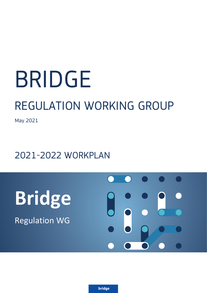# BRIDGE

## REGULATION WORKING GROUP

May 2021

### 2021-2022 WORKPLAN

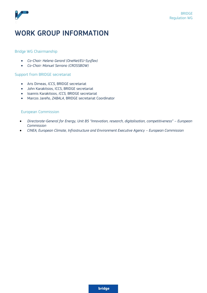

#### WORK GROUP INFORMATION

#### Bridge WG Chairmanship

- *Co-Chair: Helena Gerard (OneNet/EU-Sysflex)*
- *Co-Chair: Manuel Serrano (CROSSBOW)*

#### Support from BRIDGE secretariat

- Aris Dimeas, *ICCS*, BRIDGE secretariat
- John Karakitsios, ICCS, BRIDGE secretariat
- Ioannis Karakitsios, *ICCS,* BRIDGE secretariat
- Marcos Jareño, *ZABALA*, BRIDGE secretariat Coordinator

#### European Commission

- *Directorate-General for Energy, Unit B5 "Innovation, research, digitalisation, competitiveness" – European Commission*
- *CINEA, European Climate, Infrastructure and Environment Executive Agency – European Commission*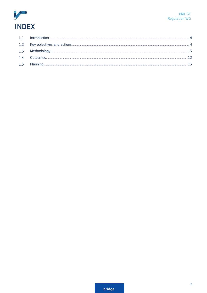

<span id="page-2-0"></span>

| $\overline{14}$ |  |
|-----------------|--|
|                 |  |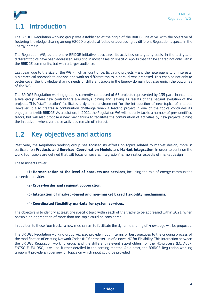

The BRIDGE Regulation working group was established at the origin of the BRIDGE initiative with the objective of fostering knowledge sharing among H2020 projects affected or addressing by different Regulation aspects in the Energy domain.

The Regulation WG, as the entire BRIDGE initiative, structures its activities on a yearly basis. In the last years, different topics have been addressed, resulting in most cases on specific reports that can be shared not only within the BRIDGE community, but with a larger audience.

Last year, due to the size of the WG – high amount of participating projects – and the heterogeneity of interests, a hierarchical approach to analyse and work on different topics in parallel was proposed. This enabled not only to better cover the knowledge sharing needs of different tracks in the Energy domain, but also enrich the outcomes of the WG.

The BRIDGE Regulation working group is currently composed of 65 projects represented by 135 participants. It is a live group where new contributors are always joining and leaving as results of the natural evolution of the projects. This "staff rotation" facilitates a dynamic environment for the introduction of new topics of interest. However, it also creates a continuation challenge when a leading project in one of the topics concludes its engagement with BRIDGE. As a solution, in 2021, the Regulation WG will not only tackle a number of pre-identified tracks, but will also propose a new mechanism to facilitate the continuation of activities by new projects joining the initiative – whenever these activities remain of interest.

#### <span id="page-3-0"></span>Key objectives and actions  $1.2$

Past year, the Regulation working group has focused its efforts on topics related to market design, more in particular on **Products and Services**, **Coordination Models** and **Market Integration**. In order to continue the work, four tracks are defined that will focus on several integration/harmonization aspects of market design.

These aspects cover:

(1) **Harmonization at the level of products and services**, including the role of energy communities as service provider.

- (2) **Cross-border and regional cooperation**.
- (3) **Integration of market -based and non-market based flexibility mechanisms**.

#### (4) **Coordinated flexibility markets for system services.**

The objective is to identify at least one specific topic within each of the tracks to be addressed within 2021. When possible an aggregation of more than one topic could be considered.

In addition to these four tracks, a new mechanism to facilitate the dynamic sharing of knowledge will be proposed.

The BRIDGE Regulation working group will also provide input in terms of best practices to the ongoing process of the modification of existing Network Codes (NC)/ or the set-up of a novel NC for Flexibility. This interaction between the BRIDGE Regulation working group and the different relevant stakeholders for the NC-process (EC, ACER, ENTSO-E, EU DSO,…) will be further detailed in the coming months. As a start, the BRIDGE Regulation working group will provide an overview of topics on which input could be provided.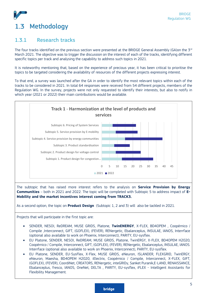## <span id="page-4-0"></span>1.3 Methodology

#### 1.3.1 Research tracks

The four tracks identified on the previous section were presented at the BRIDGE General Assembly (GA)on the  $3^{rd}$ March 2021. The objective was to trigger the discussion on the interest of each of the tracks, identifying different specific topics per track and analysing the capability to address such topics in 2021.

It is noteworthy mentioning that, based on the experience of precious year, it has been critical to prioritise the topics to be targeted considering the availability of resources of the different projects expressing interest.

To that end, a survey was launched after the GA in order to identify the most relevant topics within each of the tracks to be considered in 2021. In total 64 responses were received from 54 different projects, members of the Regulation WG. In the survey, projects were not only requested to identify their interests, but also to notify in which year (2021 or 2022) their main contributions would be available.



The subtopic that has raised more interest refers to the analysis on **Service Provision by Energy Communities** – both in 2021 and 2022. The topic will be completed with Subtopic 5 to address impact of **E-Mobility and the market incentives interest coming from TRACK3.**

As a second option, the topic on **Product Design** (Subtopic 1, 2 and 3) will also be tackled in 2021.

Projects that will participate in the first topic are:

- SENDER, NESOI, ReDREAM, MUSE GRIDS, Platone, **TwinENERGY**, X-FLEX, BD4OPEM , Coopérnico / Compile ,Interconnect, GIFT, (GOFLEX), (FEVER), RENergetic, Ebalanceplus, INSULAE, IANOS, Interrface (optional also available to work on Phoenix, Interconnect), PARITY, EU-sysflex.
- EU Platone, SENDER, NESOI, ReDREAM, MUSE GRIDS, Platone, TwinERGY, X-FLEX, BD4OPEM H2020, Coopérnico / Compile, Interconnect, GIFT, (GOFLEX), (FEVER), RENergetic, Ebalanceplus, INSULAE, IANOS. Interrface (optional also available to work on Phoenix, Interconnect), PARITY, EU-sysflex.
- EU Platone, SENDER, EU-SysFlex, X-Flex, MUSE GRIDS, eNeuron, ISLANDER, FLEXGRID, TwinERGY, eNeuron, Maesha, BD4OPEM H2020, iElectrix, Coopérnico / Compile, Interconnect, X-FLEX, GIFT, (GOFLEX), (FEVER), CoordiNet, CREATORS, RENergetic, inteGRIDy, Sanket Puranik,E-LAND, RENAISSANCE, Ebalanceplus, fresco, IANOS, OneNet, DELTA , PARITY, EU-sysflex, iFLEX - Intelligent Assistants for Flexibility Management.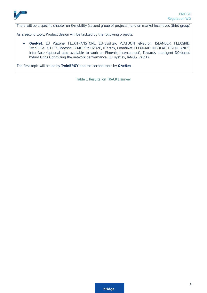

There will be a specific chapter on E-mobility (second group of projects ) and on market incentives (third group)

As a second topic, Product design will be tackled by the following projects:

• **OneNet**, EU Platone, FLEXITRANSTORE, EU-SysFlex, PLATOON, eNeuron, ISLANDER, FLEXGRID, TwinERGY, X-FLEX, Maesha, BD4OPEM H2020, iElectrix, CoordiNet, FLEXIGRID, INSULAE, TIGON, IANOS, Interrface (optional also available to work on Phoenix, Interconnect), Towards Intelligent DC-based hybrid Grids Optimizing the network performance, EU-sysflex, IANOS, PARITY.

The first topic will be led by **TwinERGY** and the second topic by **OneNet**.

Table 1 Results ion TRACK1 survey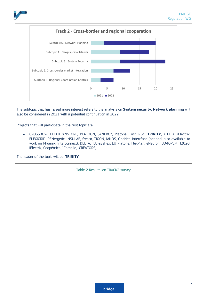



The leader of the topic will be: **TRINITY**.

Table 2 Results ion TRACK2 survey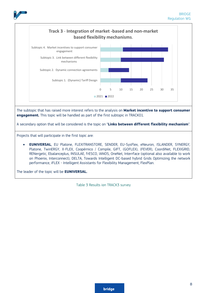



The subtopic that has raised more interest refers to the analysis on **Market incentive to support consumer engagement.** This topic will be handled as part of the first subtopic in TRACK01.

A secondary option that will be considered is the topic on "**Links between different flexibility mechanism**".

Projects that will participate in the first topic are:

• **EUNIVERSAL**, EU Platone, FLEXITRANSTORE, SENDER, EU-SysFlex, eNeuron, ISLANDER, SYNERGY, Platone, TwinERGY, X-FLEX, Coopérnico / Compile, GIFT, (GOFLEX), (FEVER), CoordiNet, FLEXIGRID, RENergetic, Ebalanceplus, INSULAE, frESCO, IANOS, OneNet, Interrface (optional also available to work on Phoenix, Interconnect), DELTA, Towards Intelligent DC-based hybrid Grids Optimizing the network performance, iFLEX - Intelligent Assistants for Flexibility Management, FlexPlan.

The leader of the topic will be **EUNIVERSAL.**

Table 3 Results ion TRACK3 survey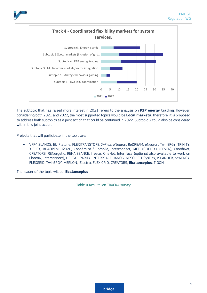



considering both 2021 and 2022, the most supported topics would be **Local markets**. Therefore, it is proposed to address both subtopics as a joint action that could be continued in 2022. Subtopic 3 could also be considered within this joint action.

Projects that will participate in the topic are:

• VPP4ISLANDS, EU Platone, FLEXITRANSTORE, X-Flex, eNeuron, ReDREAM, eNeuron, TwinERGY, TRINITY, X-FLEX, BD4OPEM H2020, Coopérnico / Compile, Interconnect, GIFT, (GOFLEX), (FEVER), CoordiNet, CREATORS, RENergetic, RENAISSANCE, fresco, OneNet. Interrface (optional also available to work on Phoenix, Interconnect), DELTA , PARITY, INTERRFACE, IANOS, NESOI, EU-SysFlex, ISLANDER, SYNERGY, FLEXGRID, TwinERGY, MERLON, iElectrix, FLEXIGRID, CREATORS, **Ebalanceplus**, TIGON.

The leader of the topic will be: **Ebalanceplus**

Table 4 Results ion TRACK4 survey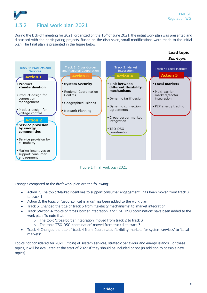**Lead topic** 



#### 1.3.2 Final work plan 2021

During the kick-off meeting for 2021, organized on the 16<sup>th</sup> of June 2021, the initial work plan was presented and discussed with the participating projects. Based on the discussion, small modifications were made to the initial plan. The final plan is presented in the figure below.



Figure 1 Final work plan 2021

Changes compared to the draft work plan are the following:

- Action 2: The topic 'Market incentives to support consumer engagement' has been moved from track 3 to track 1
- Action 3: the topic of 'geographical islands' has been added to the work plan
- Track 3: Changed the title of track 3 from 'flexibility mechanisms' to 'market integration'
- Track 3/Action 4: topics of 'cross-border integration' and 'TSO-DSO coordination' have been added to the work plan. To note that:
	- o The topic 'cross-border integration' moved from track 2 to track 3
		- o The topic 'TSO-DSO-coordination' moved from track 4 to track 3
- Track 4: Changed the title of track 4 from 'Coordinated flexibility markets for system services' to 'Local markets'

Topics not considered for 2021: Pricing of system services, strategic behaviour and energy islands. For these topics, it will be evaluated at the start of 2022 if they should be included or not (in addition to possible new topics).

#### **bridge**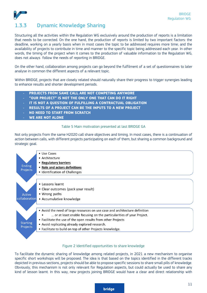

#### 1.3.3 Dynamic Knowledge Sharing

Structuring all the activities within the Regulation WG exclusively around the production of reports is a limitation that needs to be corrected. On the one hand, the production of reports is limited by two important factors: the deadline, working on a yearly basis when in most cases the topic to be addressed requires more time; and the availability of projects to contribute in time and manner to the specific topic being addressed each year. In other words, the timing of the project when it comes to the production of valuable information to the Regulation WG, does not always follow the needs of reporting in BRIDGE.

On the other hand, collaboration among projects can go beyond the fulfilment of a set of questionnaires to later analyse in common the different aspects of a relevant topic.

Within BRIDGE, projects that are closely related should naturally share their progress to trigger synergies leading to enhance results and shorter development periods.

- **PROJECTS FROM SAME CALL ARE NOT COMPETING ANYMORE**
- **"OUR PROJECT" IS NOT THE ONLY ONE THAT CAN DO IT RIGHT**
- **IT IS NOT A QUESTION OF FULFILLING A CONTRACTUAL OBLIGATION**
- **RESULTS OF A PROJECT CAN BE THE INPUTS TO A NEW PROJECT**
- **NO NEED TO START FROM SCRATCH**
- **WE ARE NOT ALONE**

#### Table 5 Main motivation presented at last BRIDGE GA

Not only projects from the same H2020 call share objectives and timing. In most cases, there is a continuation of action between calls, with different projects participating on each of them, but sharing a common background and strategic goal.



#### Figure 2 Identified opportunities to share knowledge

To facilitate the dynamic sharing of knowledge among related projects, in 2021 a new mechanism to organise specific short workshops will be proposed. The idea is that based on the topics identified in the different tracks depicted in previous sections, projects should be able to propose specific sessions to share small pills of knowledge. Obviously, this mechanism is not only relevant for Regulation aspects, but could actually be used to share any kind of lesson learnt. In this way, new projects joining BRIDGE would have a clear and direct relationship with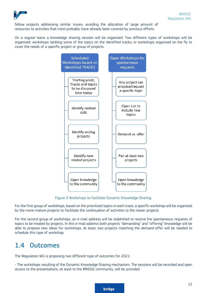

fellow projects addressing similar issues, avoiding the allocation of large amount of resources to activities that most probably have already been covered by previous efforts.

On a regular basis a knowledge sharing session will be organised. Two different types of workshops will be organised: workshops tackling some of the topics on the identified tracks; or workshops organised on the fly to cover the needs of a specific project or group of projects.



Figure 3 Workshops to facilitate Dynamic Knowledge Sharing.

For the first group of workshops, based on the prioritised topics in each track, a specific workshop will be organised by the more mature projects to facilitate the continuation of activities to the newer projects.

For the second group of workshops, an e-mail address will be stablished to receive the spontaneous requests of topics to be treated by projects. In this e-mail address both projects "demanding" and "offering" knowledge will be able to propose new ideas for workshops. At least, two projects matching the demand-offer will be needed to schedule this type of workshop.

#### <span id="page-11-0"></span>1.4 Outcomes

The Regulation WG is proposing two different type of outcomes for 2021:

- The workshops resulting of the Dynamic Knowledge Sharing mechanism. The sessions will be recorded and open access to the presentations, at least to the BRIDGE community, will be provided.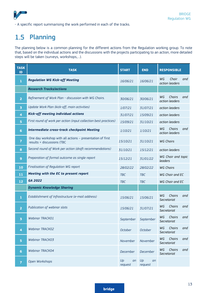

- A specific report summarising the work performed in each of the tracks.

#### <span id="page-12-0"></span>1.5 Planning

The planning below is a common planning for the different actions from the Regulation working group. To note that, based on the individual actions and the discussions with the projects participating to an action, more detailed steps will be taken (surveys, workshops,…).

| <b>TASK</b><br>ID       | <b>TASK</b>                                                                             | <b>START</b>        | <b>END</b>          | <b>RESPONSIBLE</b>                    |
|-------------------------|-----------------------------------------------------------------------------------------|---------------------|---------------------|---------------------------------------|
| $\mathbf{1}$            | <b>Regulation WG Kick-off Meeting</b>                                                   | 16/06/21            | 16/06/21            | WG<br>Chair<br>and<br>action leaders  |
|                         | <b>Research Tracks/actions</b>                                                          |                     |                     |                                       |
| $\overline{2}$          | Refinement of Work Plan - discussion with WG Chairs.                                    | 30/06/21            | 30/06/21            | WG<br>Chairs<br>and<br>action leaders |
| 3                       | Update Work Plan (kick-off, main activities)                                            | 1/07/21             | 31/07/21            | action leaders                        |
| 4                       | Kick-off meeting individual actions                                                     | 31/07/21            | 15/09/21            | action leaders                        |
| 5                       | First round of work per action (input collection best practices)                        | 15/09/21            | 31/10/21            | action leaders                        |
| 6                       | <b>Intermediate cross-track checkpoint Meeting</b>                                      | 1/10/21             | 1/10/21             | Chairs<br>WG<br>and<br>action leaders |
| 7                       | One day workshop with all actions - presentation of first<br>results + discussions (TBC | 15/10/21            | 31/10/21            | <b>WG Chairs</b>                      |
| 8                       | Second round of Work per action (draft recommendations)                                 | 31/10/21            | 15/12/21            | action leaders                        |
| 9                       | Preparation of formal outcome as single report                                          | 15/12/21            | 31/01/22            | WG Chair and topic<br>leaders         |
| 10                      | Finalisation of Regulation WG report                                                    | 28/02/22            | 28/02/22            | <b>WG Chairs</b>                      |
| 11                      | Meeting with the EC to present report                                                   | <b>TBC</b>          | <b>TBC</b>          | WG Chair and EC                       |
| 12                      | <b>GA 2022</b>                                                                          | <b>TBC</b>          | <b>TBC</b>          | WG Chair and EC                       |
|                         | <b>Dynamic Knowledge Sharing</b>                                                        |                     |                     |                                       |
| 1                       | Establishment of Infrastructure (e-mail address)                                        | 15/06/21            | 15/06/21            | WG<br>Chairs<br>and<br>Secretariat    |
| $\overline{2}$          | Publication of webinar slots                                                            | 15/06/21            | 31/07/21            | WG<br>Chairs<br>and<br>Secretariat    |
|                         | <b>Webinar TRACK01</b>                                                                  | <b>September</b>    | September           | WG<br>Chairs<br>and<br>Secretariat    |
| $\overline{\mathbf{4}}$ | <b>Webinar TRACKO2</b>                                                                  | <b>October</b>      | October             | WG<br>Chairs<br>and<br>Secretariat    |
| 5                       | <b>Webinar TRACK03</b>                                                                  | November            | November            | WG<br>Chairs<br>and<br>Secretariat    |
| $6\phantom{a}$          | <b>Webinar TRACK04</b>                                                                  | December            | December            | WG<br>Chairs<br>and<br>Secretariat    |
| $\overline{7}$          | Open Workshops                                                                          | Up<br>on<br>request | Up<br>on<br>request |                                       |